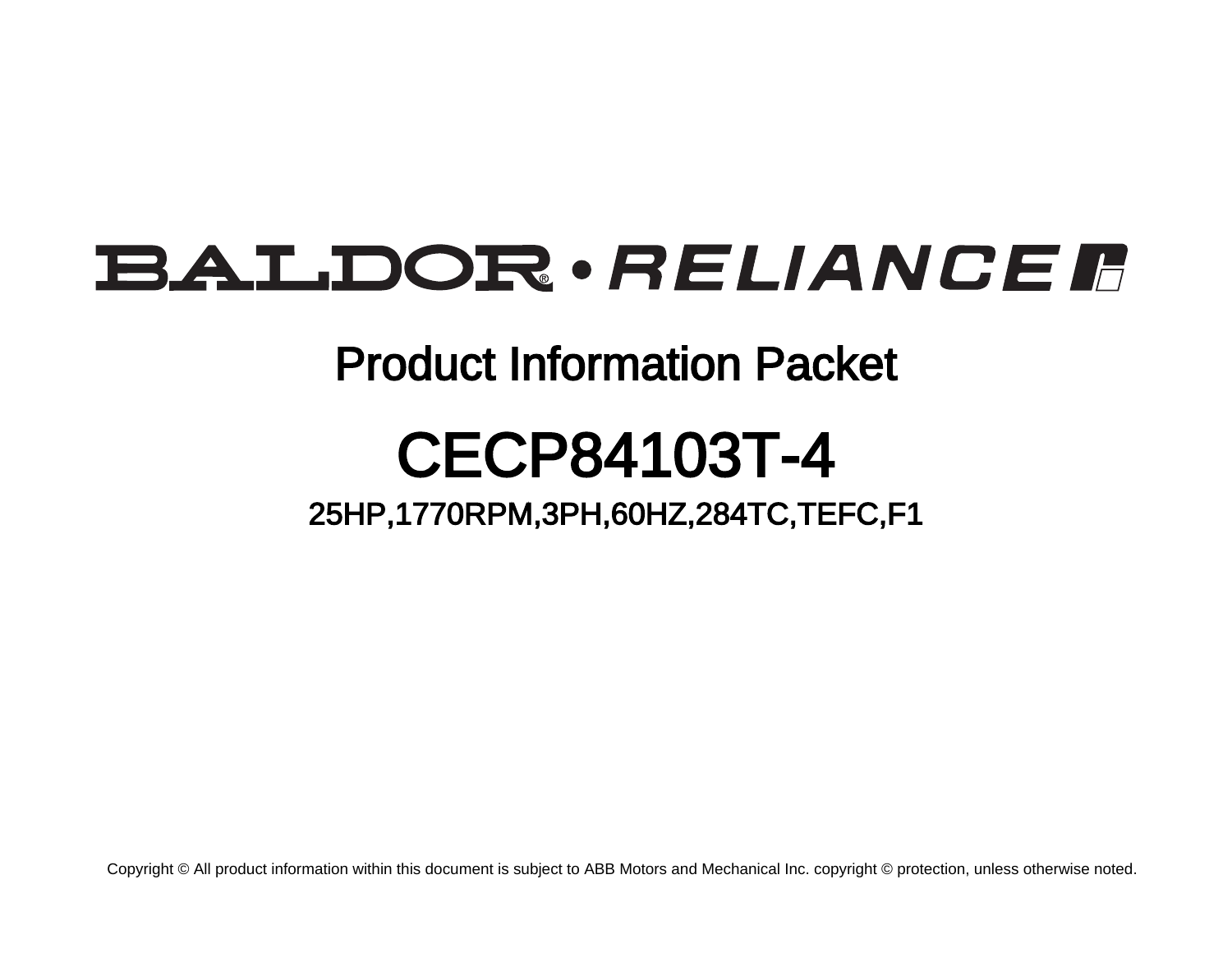# BALDOR · RELIANCE F

## Product Information Packet

# CECP84103T-4

### 25HP,1770RPM,3PH,60HZ,284TC,TEFC,F1

Copyright © All product information within this document is subject to ABB Motors and Mechanical Inc. copyright © protection, unless otherwise noted.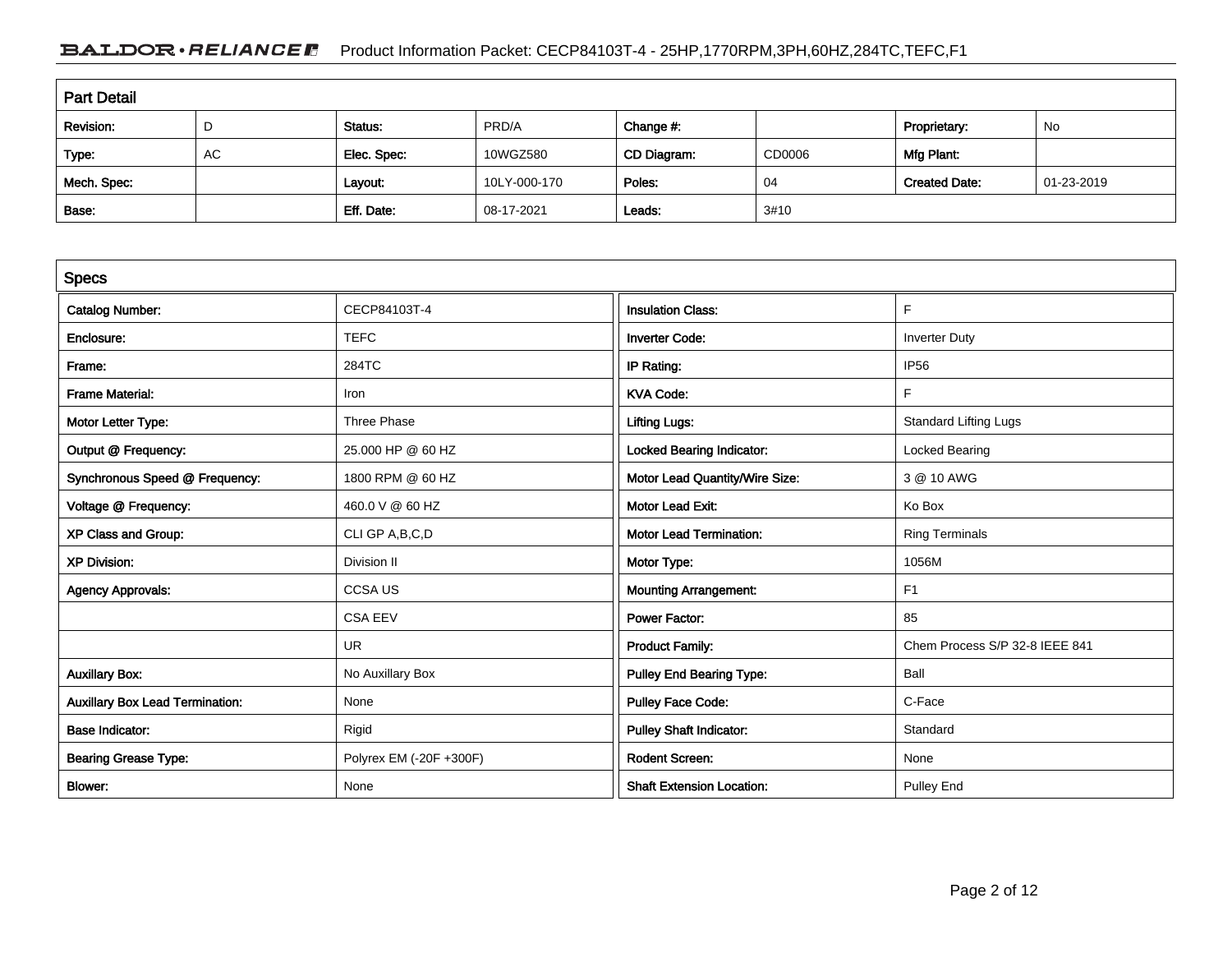### BALDOR · RELIANCE F Product Information Packet: CECP84103T-4 - 25HP,1770RPM,3PH,60HZ,284TC,TEFC,F1

| <b>Part Detail</b> |    |             |              |             |        |                      |            |  |
|--------------------|----|-------------|--------------|-------------|--------|----------------------|------------|--|
| Revision:          | D  | Status:     | PRD/A        | Change #:   |        | Proprietary:         | No         |  |
| Type:              | AC | Elec. Spec: | 10WGZ580     | CD Diagram: | CD0006 | Mfg Plant:           |            |  |
| Mech. Spec:        |    | Layout:     | 10LY-000-170 | Poles:      | 04     | <b>Created Date:</b> | 01-23-2019 |  |
| Base:              |    | Eff. Date:  | 08-17-2021   | Leads:      | 3#10   |                      |            |  |

| <b>Specs</b>                           |                         |                                  |                                |
|----------------------------------------|-------------------------|----------------------------------|--------------------------------|
| <b>Catalog Number:</b>                 | CECP84103T-4            | <b>Insulation Class:</b>         | F                              |
| Enclosure:                             | <b>TEFC</b>             | <b>Inverter Code:</b>            | <b>Inverter Duty</b>           |
| Frame:                                 | 284TC                   | IP Rating:                       | IP <sub>56</sub>               |
| <b>Frame Material:</b>                 | Iron                    | <b>KVA Code:</b>                 | F.                             |
| Motor Letter Type:                     | Three Phase             | <b>Lifting Lugs:</b>             | <b>Standard Lifting Lugs</b>   |
| Output @ Frequency:                    | 25.000 HP @ 60 HZ       | <b>Locked Bearing Indicator:</b> | Locked Bearing                 |
| Synchronous Speed @ Frequency:         | 1800 RPM @ 60 HZ        | Motor Lead Quantity/Wire Size:   | 3 @ 10 AWG                     |
| Voltage @ Frequency:                   | 460.0 V @ 60 HZ         | <b>Motor Lead Exit:</b>          | Ko Box                         |
| XP Class and Group:                    | CLI GP A, B, C, D       | <b>Motor Lead Termination:</b>   | <b>Ring Terminals</b>          |
| <b>XP Division:</b>                    | Division II             | Motor Type:                      | 1056M                          |
| <b>Agency Approvals:</b>               | <b>CCSA US</b>          | <b>Mounting Arrangement:</b>     | F <sub>1</sub>                 |
|                                        | <b>CSA EEV</b>          | <b>Power Factor:</b>             | 85                             |
|                                        | UR                      | <b>Product Family:</b>           | Chem Process S/P 32-8 IEEE 841 |
| <b>Auxillary Box:</b>                  | No Auxillary Box        | <b>Pulley End Bearing Type:</b>  | Ball                           |
| <b>Auxillary Box Lead Termination:</b> | None                    | <b>Pulley Face Code:</b>         | C-Face                         |
| <b>Base Indicator:</b>                 | Rigid                   | <b>Pulley Shaft Indicator:</b>   | Standard                       |
| <b>Bearing Grease Type:</b>            | Polyrex EM (-20F +300F) | <b>Rodent Screen:</b>            | None                           |
| <b>Blower:</b>                         | None                    | <b>Shaft Extension Location:</b> | <b>Pulley End</b>              |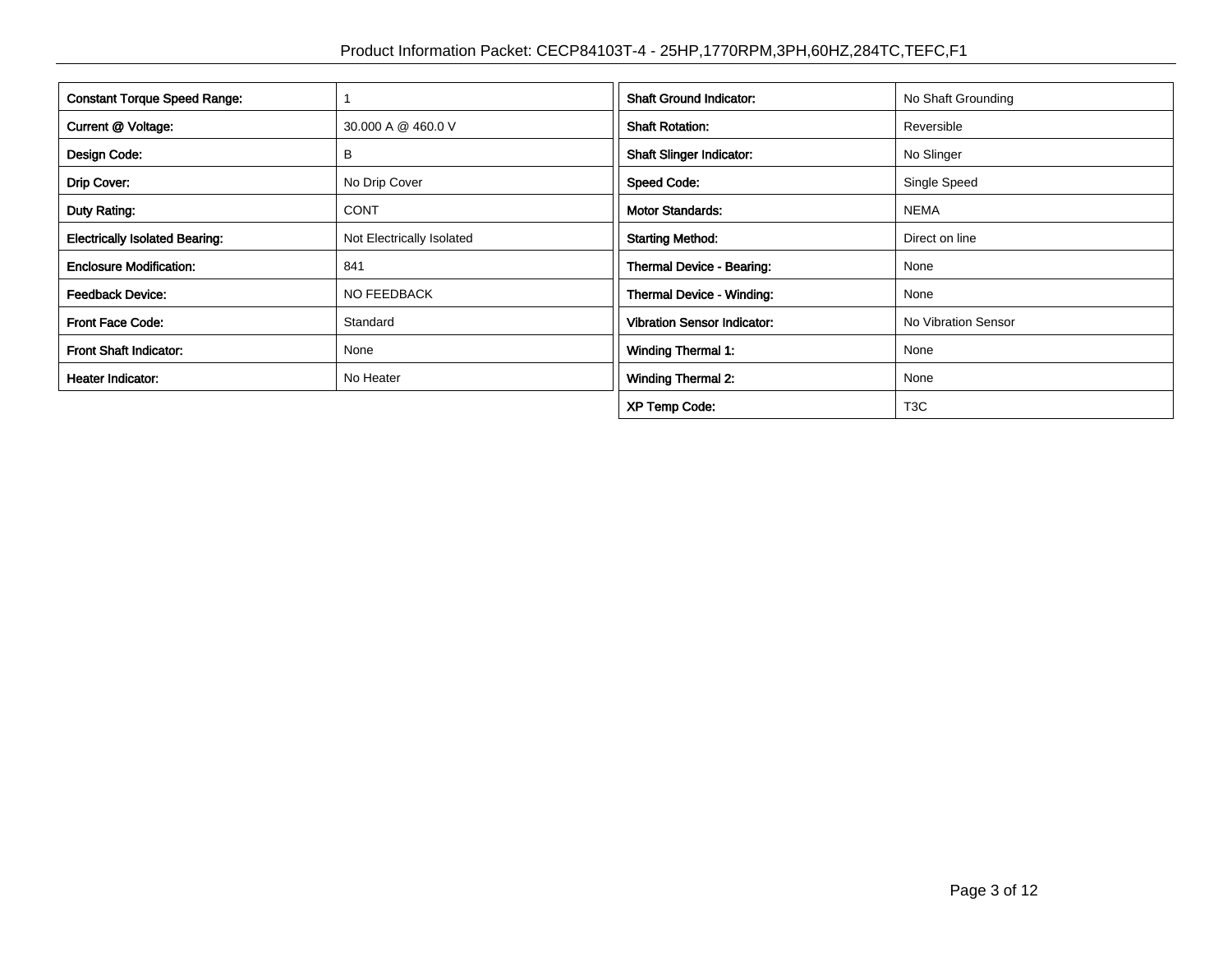| <b>Constant Torque Speed Range:</b>   |                           | <b>Shaft Ground Indicator:</b>     | No Shaft Grounding  |
|---------------------------------------|---------------------------|------------------------------------|---------------------|
|                                       |                           |                                    |                     |
| Current @ Voltage:                    | 30.000 A @ 460.0 V        | <b>Shaft Rotation:</b>             | Reversible          |
| Design Code:<br>B                     |                           | <b>Shaft Slinger Indicator:</b>    | No Slinger          |
| Drip Cover:                           | No Drip Cover             | <b>Speed Code:</b>                 | Single Speed        |
| Duty Rating:                          | <b>CONT</b>               | <b>Motor Standards:</b>            | <b>NEMA</b>         |
| <b>Electrically Isolated Bearing:</b> | Not Electrically Isolated | <b>Starting Method:</b>            | Direct on line      |
| <b>Enclosure Modification:</b>        | 841                       | Thermal Device - Bearing:          | None                |
| <b>Feedback Device:</b>               | NO FEEDBACK               | Thermal Device - Winding:          | None                |
| <b>Front Face Code:</b>               | Standard                  | <b>Vibration Sensor Indicator:</b> | No Vibration Sensor |
| Front Shaft Indicator:                | None                      | <b>Winding Thermal 1:</b>          | None                |
| Heater Indicator:                     | No Heater                 | <b>Winding Thermal 2:</b>          | None                |
|                                       |                           | <b>XP Temp Code:</b>               | T <sub>3</sub> C    |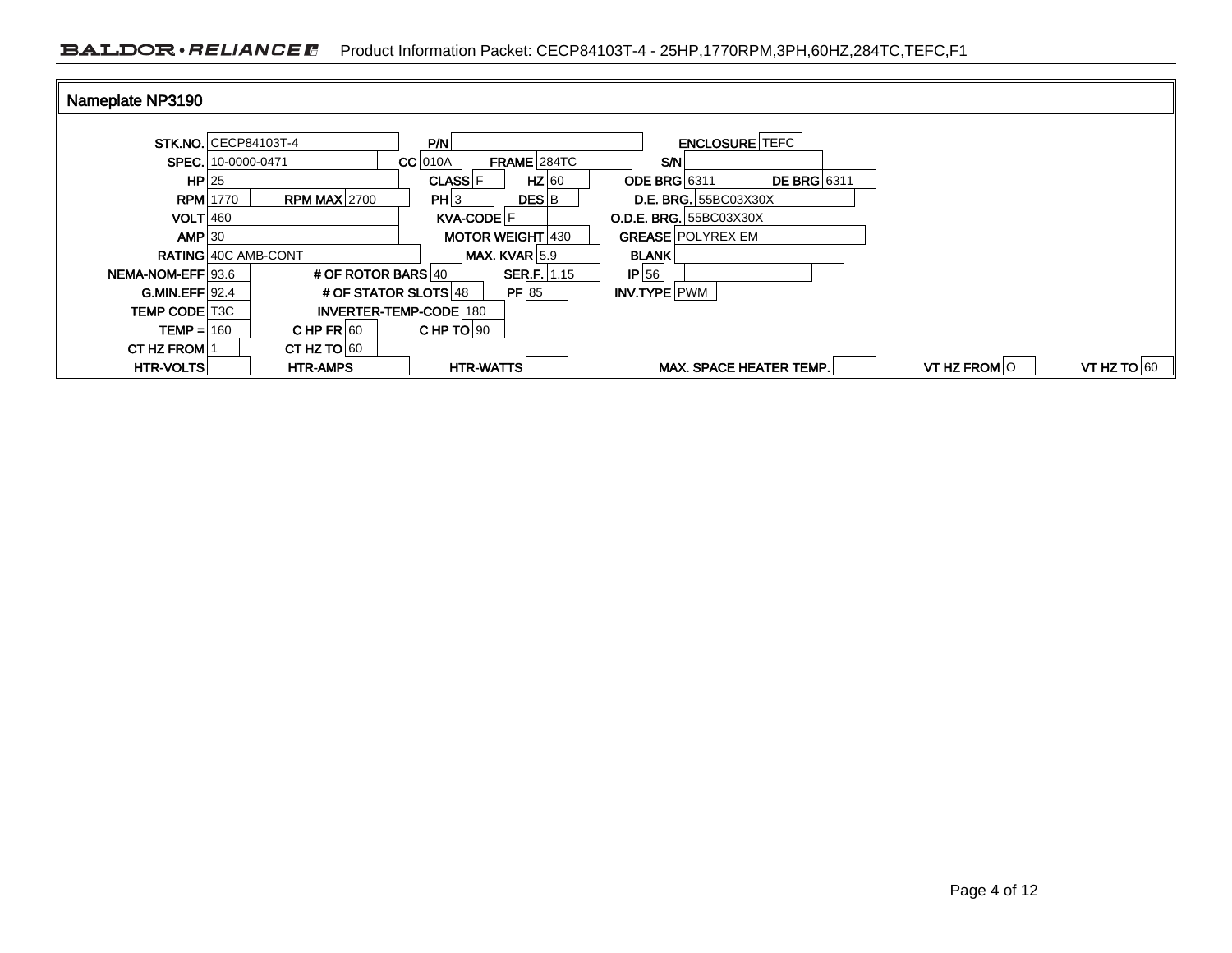| Nameplate NP3190         |                                        |                                 |                                           |                               |  |
|--------------------------|----------------------------------------|---------------------------------|-------------------------------------------|-------------------------------|--|
|                          | <b>STK, NO. CECP84103T-4</b>           | P/N                             | <b>ENCLOSURE TEFC</b>                     |                               |  |
|                          |                                        |                                 |                                           |                               |  |
|                          | SPEC. 10-0000-0471                     | FRAME 284TC<br>$CC$ 010A        | S/N                                       |                               |  |
| $HP$  25                 |                                        | $HZ$ 60<br>CLASS <sup>IF</sup>  | <b>DE BRG</b> 6311<br><b>ODE BRG 6311</b> |                               |  |
|                          | <b>RPM MAX 2700</b><br><b>RPM</b> 1770 | PH 3<br><b>DES</b> <sub>B</sub> | <b>D.E. BRG.</b> 55BC03X30X               |                               |  |
| $VOLT$ 460               |                                        | KVA-CODE F                      | <b>O.D.E. BRG. 55BC03X30X</b>             |                               |  |
| $AMP$ 30                 |                                        | <b>MOTOR WEIGHT 430</b>         | <b>GREASE POLYREX EM</b>                  |                               |  |
|                          | <b>RATING 40C AMB-CONT</b>             | MAX. KVAR $ 5.9$                | <b>BLANK</b>                              |                               |  |
| <b>NEMA-NOM-EFF 93.6</b> | # OF ROTOR BARS 40                     | <b>SER.F.</b>   1.15            | $IP$ 56                                   |                               |  |
| $GMIN.EFF$ 92.4          |                                        | # OF STATOR SLOTS 48<br>PF 85   | INV.TYPE PWM                              |                               |  |
| TEMP CODE   T3C          |                                        | INVERTER-TEMP-CODE 180          |                                           |                               |  |
| $TEMP = 160$             | CHP $FR$ 60                            | CHP TO $90$                     |                                           |                               |  |
| <b>CT HZ FROM 1</b>      | CT HZ TO $60$                          |                                 |                                           |                               |  |
| HTR-VOLTS                | <b>HTR-AMPS</b>                        | HTR-WATTS                       | MAX. SPACE HEATER TEMP.                   | VT HZ FROM O<br>VT HZ TO $60$ |  |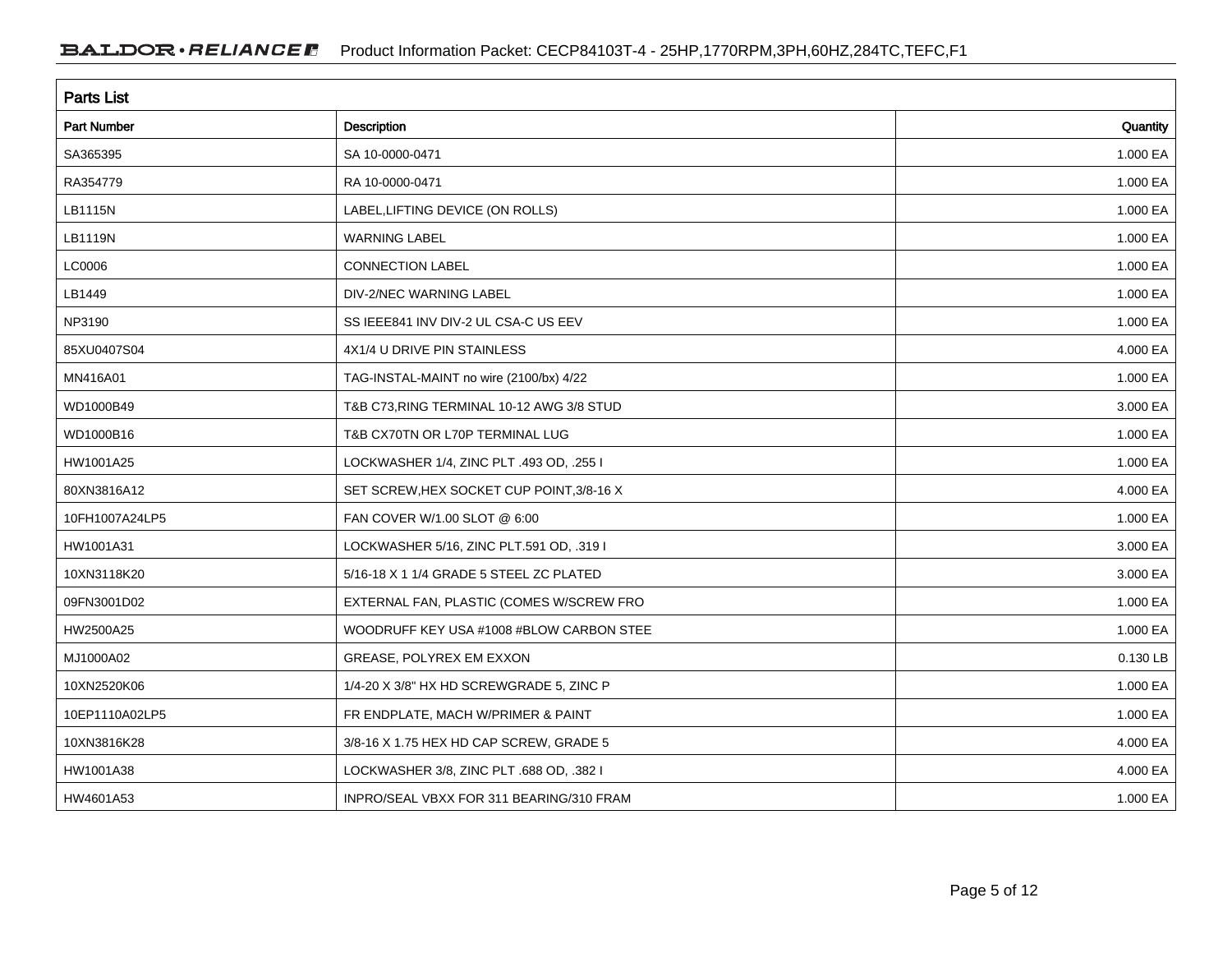| <b>Parts List</b>  |                                           |          |  |  |  |  |
|--------------------|-------------------------------------------|----------|--|--|--|--|
| <b>Part Number</b> | Description                               | Quantity |  |  |  |  |
| SA365395           | SA 10-0000-0471                           | 1.000 EA |  |  |  |  |
| RA354779           | RA 10-0000-0471                           | 1.000 EA |  |  |  |  |
| LB1115N            | LABEL, LIFTING DEVICE (ON ROLLS)          | 1.000 EA |  |  |  |  |
| LB1119N            | <b>WARNING LABEL</b>                      | 1.000 EA |  |  |  |  |
| LC0006             | <b>CONNECTION LABEL</b>                   | 1.000 EA |  |  |  |  |
| LB1449             | DIV-2/NEC WARNING LABEL                   | 1.000 EA |  |  |  |  |
| NP3190             | SS IEEE841 INV DIV-2 UL CSA-C US EEV      | 1.000 EA |  |  |  |  |
| 85XU0407S04        | 4X1/4 U DRIVE PIN STAINLESS               | 4.000 EA |  |  |  |  |
| MN416A01           | TAG-INSTAL-MAINT no wire (2100/bx) 4/22   | 1.000 EA |  |  |  |  |
| WD1000B49          | T&B C73, RING TERMINAL 10-12 AWG 3/8 STUD | 3.000 EA |  |  |  |  |
| WD1000B16          | T&B CX70TN OR L70P TERMINAL LUG           | 1.000 EA |  |  |  |  |
| HW1001A25          | LOCKWASHER 1/4, ZINC PLT .493 OD, .255 I  | 1.000 EA |  |  |  |  |
| 80XN3816A12        | SET SCREW, HEX SOCKET CUP POINT, 3/8-16 X | 4.000 EA |  |  |  |  |
| 10FH1007A24LP5     | FAN COVER W/1.00 SLOT @ 6:00              | 1.000 EA |  |  |  |  |
| HW1001A31          | LOCKWASHER 5/16, ZINC PLT.591 OD, .319 I  | 3.000 EA |  |  |  |  |
| 10XN3118K20        | 5/16-18 X 1 1/4 GRADE 5 STEEL ZC PLATED   | 3.000 EA |  |  |  |  |
| 09FN3001D02        | EXTERNAL FAN, PLASTIC (COMES W/SCREW FRO  | 1.000 EA |  |  |  |  |
| HW2500A25          | WOODRUFF KEY USA #1008 #BLOW CARBON STEE  | 1.000 EA |  |  |  |  |
| MJ1000A02          | GREASE, POLYREX EM EXXON                  | 0.130 LB |  |  |  |  |
| 10XN2520K06        | 1/4-20 X 3/8" HX HD SCREWGRADE 5, ZINC P  | 1.000 EA |  |  |  |  |
| 10EP1110A02LP5     | FR ENDPLATE, MACH W/PRIMER & PAINT        | 1.000 EA |  |  |  |  |
| 10XN3816K28        | 3/8-16 X 1.75 HEX HD CAP SCREW, GRADE 5   | 4.000 EA |  |  |  |  |
| HW1001A38          | LOCKWASHER 3/8, ZINC PLT .688 OD, .382 I  | 4.000 EA |  |  |  |  |
| HW4601A53          | INPRO/SEAL VBXX FOR 311 BEARING/310 FRAM  | 1.000 EA |  |  |  |  |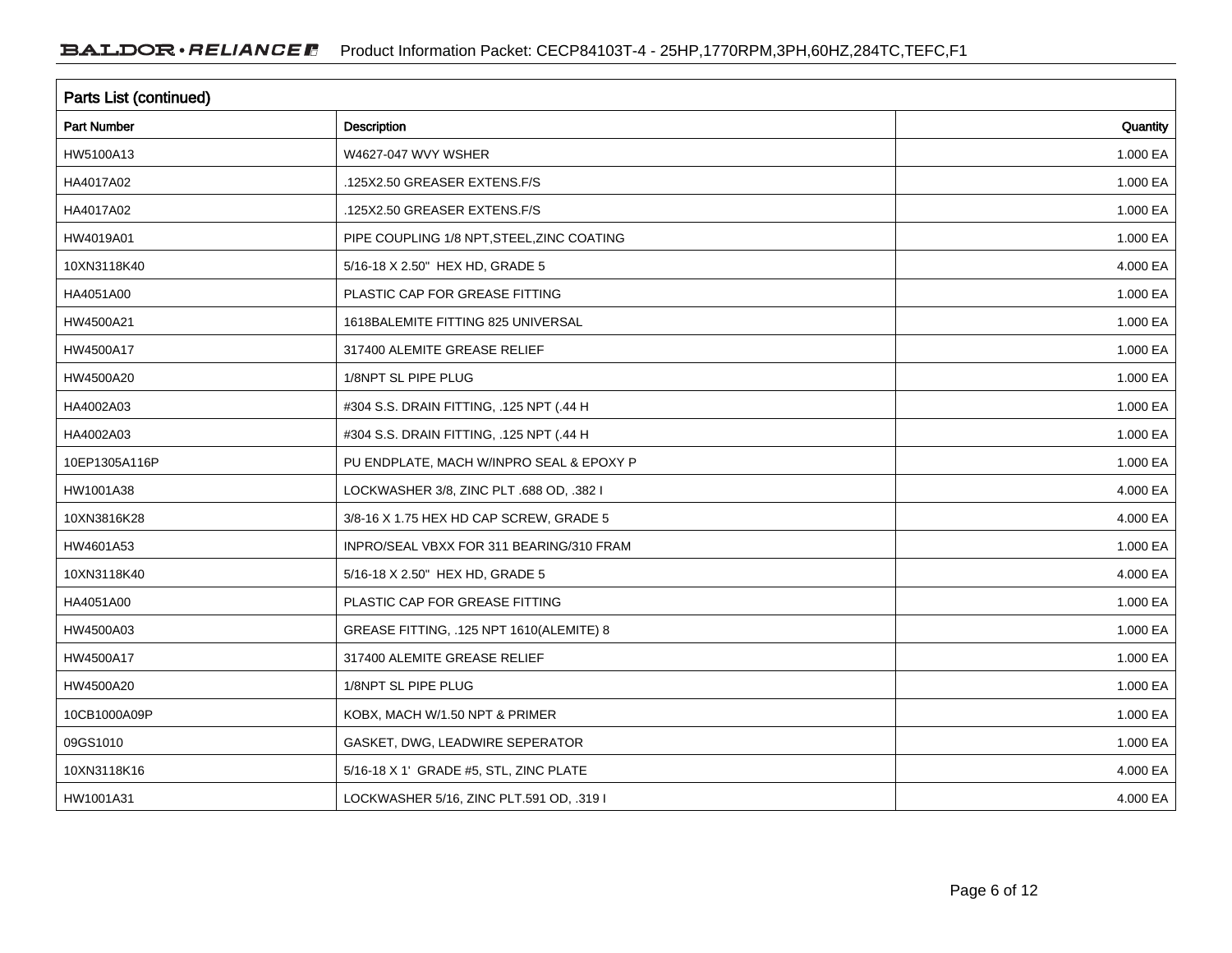| Parts List (continued) |                                            |          |  |  |  |
|------------------------|--------------------------------------------|----------|--|--|--|
| <b>Part Number</b>     | Description                                | Quantity |  |  |  |
| HW5100A13              | W4627-047 WVY WSHER                        | 1.000 EA |  |  |  |
| HA4017A02              | .125X2.50 GREASER EXTENS.F/S               | 1.000 EA |  |  |  |
| HA4017A02              | .125X2.50 GREASER EXTENS.F/S               | 1.000 EA |  |  |  |
| HW4019A01              | PIPE COUPLING 1/8 NPT, STEEL, ZINC COATING | 1.000 EA |  |  |  |
| 10XN3118K40            | 5/16-18 X 2.50" HEX HD, GRADE 5            | 4.000 EA |  |  |  |
| HA4051A00              | PLASTIC CAP FOR GREASE FITTING             | 1.000 EA |  |  |  |
| HW4500A21              | 1618BALEMITE FITTING 825 UNIVERSAL         | 1.000 EA |  |  |  |
| HW4500A17              | 317400 ALEMITE GREASE RELIEF               | 1.000 EA |  |  |  |
| HW4500A20              | 1/8NPT SL PIPE PLUG                        | 1.000 EA |  |  |  |
| HA4002A03              | #304 S.S. DRAIN FITTING, .125 NPT (.44 H   | 1.000 EA |  |  |  |
| HA4002A03              | #304 S.S. DRAIN FITTING, .125 NPT (.44 H   | 1.000 EA |  |  |  |
| 10EP1305A116P          | PU ENDPLATE, MACH W/INPRO SEAL & EPOXY P   | 1.000 EA |  |  |  |
| HW1001A38              | LOCKWASHER 3/8, ZINC PLT .688 OD, .382 I   | 4.000 EA |  |  |  |
| 10XN3816K28            | 3/8-16 X 1.75 HEX HD CAP SCREW, GRADE 5    | 4.000 EA |  |  |  |
| HW4601A53              | INPRO/SEAL VBXX FOR 311 BEARING/310 FRAM   | 1.000 EA |  |  |  |
| 10XN3118K40            | 5/16-18 X 2.50" HEX HD, GRADE 5            | 4.000 EA |  |  |  |
| HA4051A00              | PLASTIC CAP FOR GREASE FITTING             | 1.000 EA |  |  |  |
| HW4500A03              | GREASE FITTING, .125 NPT 1610(ALEMITE) 8   | 1.000 EA |  |  |  |
| HW4500A17              | 317400 ALEMITE GREASE RELIEF               | 1.000 EA |  |  |  |
| HW4500A20              | 1/8NPT SL PIPE PLUG                        | 1.000 EA |  |  |  |
| 10CB1000A09P           | KOBX, MACH W/1.50 NPT & PRIMER             | 1.000 EA |  |  |  |
| 09GS1010               | GASKET, DWG, LEADWIRE SEPERATOR            | 1.000 EA |  |  |  |
| 10XN3118K16            | 5/16-18 X 1' GRADE #5, STL, ZINC PLATE     | 4.000 EA |  |  |  |
| HW1001A31              | LOCKWASHER 5/16, ZINC PLT.591 OD, .319 I   | 4.000 EA |  |  |  |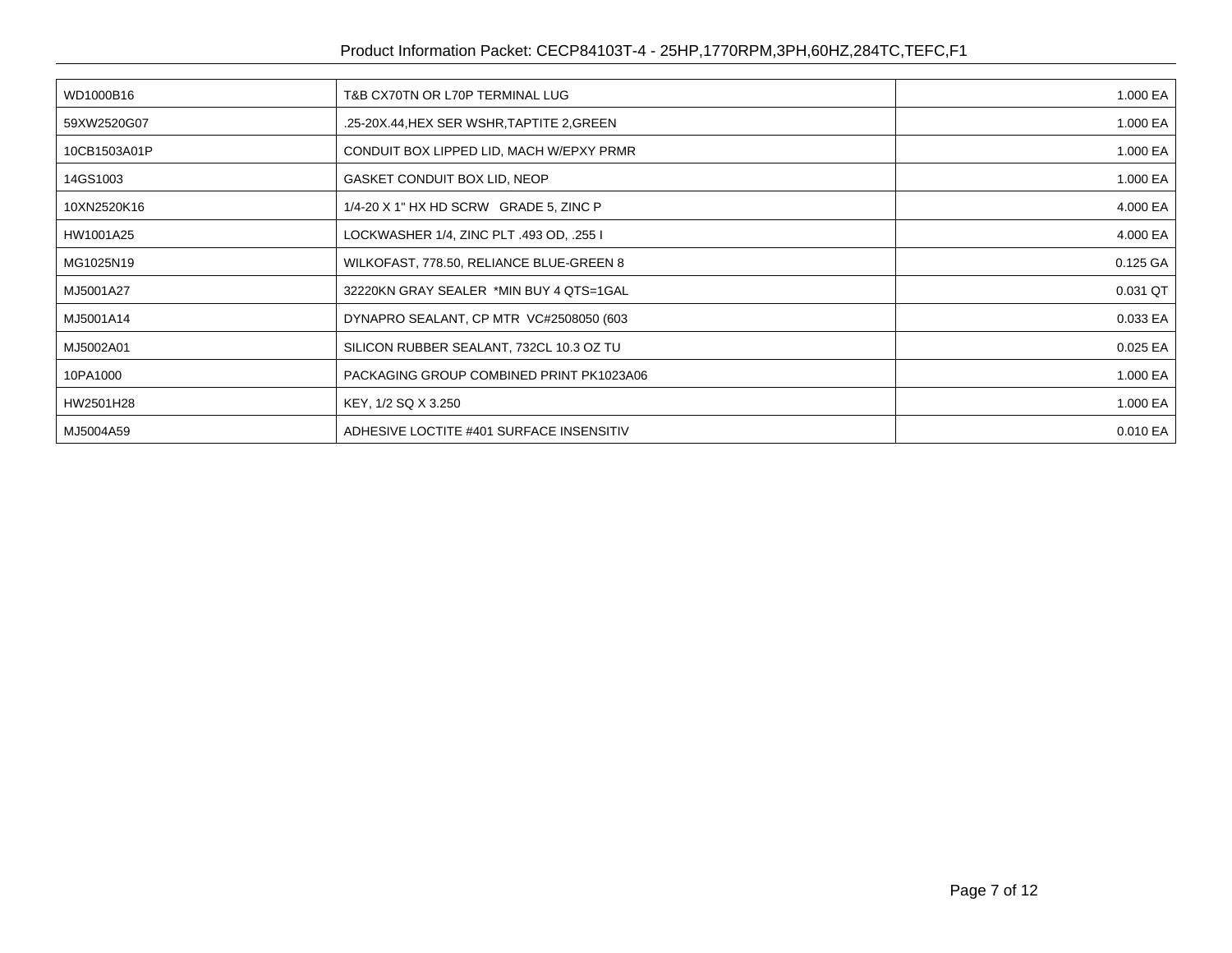| WD1000B16    | T&B CX70TN OR L70P TERMINAL LUG            | 1.000 EA |
|--------------|--------------------------------------------|----------|
| 59XW2520G07  | .25-20X.44, HEX SER WSHR, TAPTITE 2, GREEN | 1.000 EA |
| 10CB1503A01P | CONDUIT BOX LIPPED LID, MACH W/EPXY PRMR   | 1.000 EA |
| 14GS1003     | GASKET CONDUIT BOX LID, NEOP               | 1.000 EA |
| 10XN2520K16  | 1/4-20 X 1" HX HD SCRW GRADE 5, ZINC P     | 4.000 EA |
| HW1001A25    | LOCKWASHER 1/4, ZINC PLT .493 OD, .255 I   | 4.000 EA |
| MG1025N19    | WILKOFAST, 778.50, RELIANCE BLUE-GREEN 8   | 0.125 GA |
| MJ5001A27    | 32220KN GRAY SEALER *MIN BUY 4 QTS=1GAL    | 0.031 QT |
| MJ5001A14    | DYNAPRO SEALANT, CP MTR VC#2508050 (603    | 0.033 EA |
| MJ5002A01    | SILICON RUBBER SEALANT, 732CL 10.3 OZ TU   | 0.025 EA |
| 10PA1000     | PACKAGING GROUP COMBINED PRINT PK1023A06   | 1.000 EA |
| HW2501H28    | KEY, 1/2 SQ X 3.250                        | 1.000 EA |
| MJ5004A59    | ADHESIVE LOCTITE #401 SURFACE INSENSITIV   | 0.010 EA |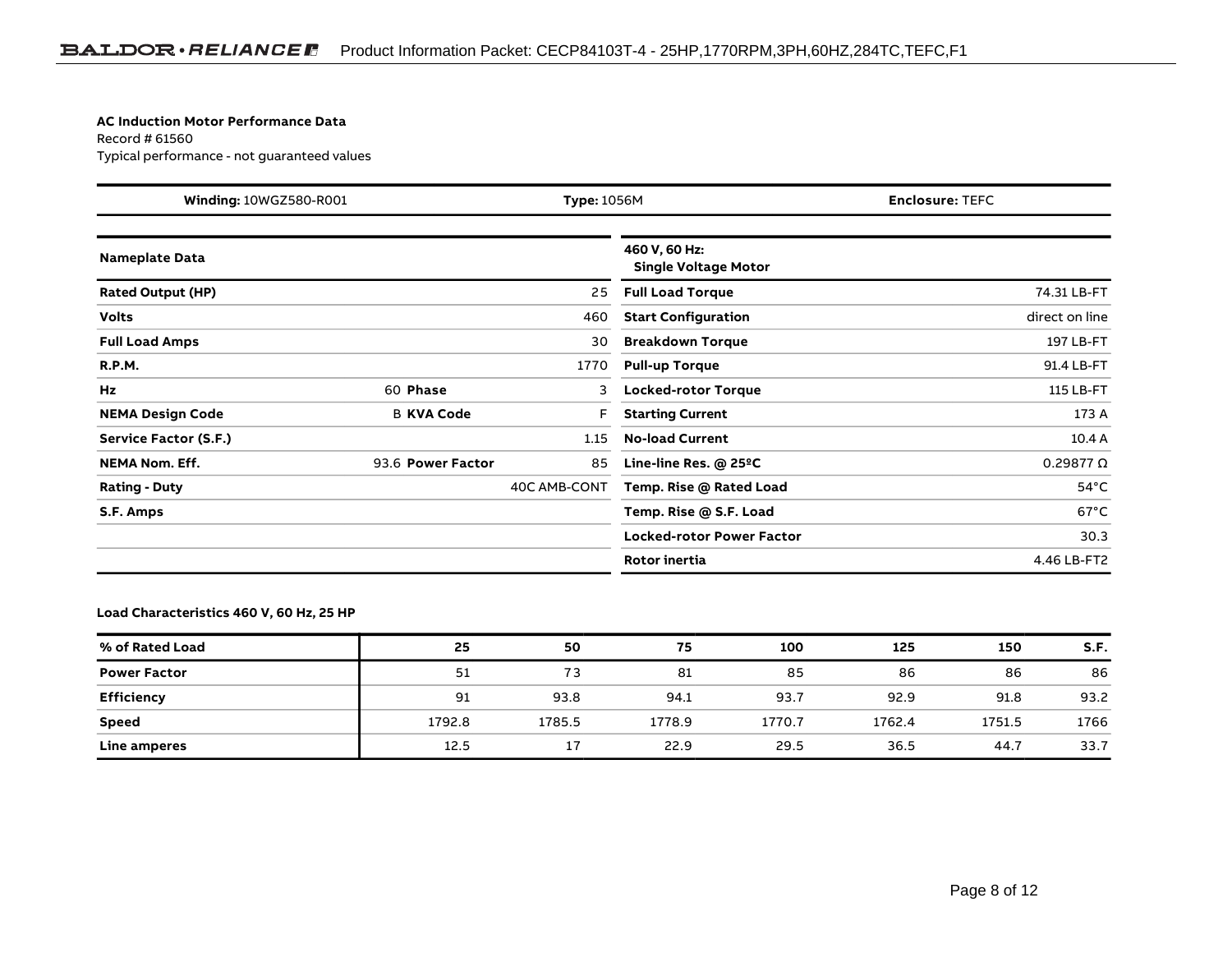#### **AC Induction Motor Performance Data**

Record # 61560Typical performance - not guaranteed values

| <b>Winding: 10WGZ580-R001</b><br><b>Type: 1056M</b> |                   | <b>Enclosure: TEFC</b> |                                              |                    |
|-----------------------------------------------------|-------------------|------------------------|----------------------------------------------|--------------------|
| <b>Nameplate Data</b>                               |                   |                        | 460 V, 60 Hz:<br><b>Single Voltage Motor</b> |                    |
| <b>Rated Output (HP)</b>                            |                   | 25                     | <b>Full Load Torque</b>                      | 74.31 LB-FT        |
| <b>Volts</b>                                        |                   | 460                    | <b>Start Configuration</b>                   | direct on line     |
| <b>Full Load Amps</b>                               |                   | 30                     | <b>Breakdown Torque</b>                      | 197 LB-FT          |
| <b>R.P.M.</b>                                       |                   | 1770                   | <b>Pull-up Torque</b>                        | 91.4 LB-FT         |
| Hz                                                  | 60 Phase          | 3                      | <b>Locked-rotor Torque</b>                   | 115 LB-FT          |
| <b>NEMA Design Code</b>                             | <b>B KVA Code</b> | F                      | <b>Starting Current</b>                      | 173 A              |
| Service Factor (S.F.)                               |                   | 1.15                   | <b>No-load Current</b>                       | 10.4A              |
| <b>NEMA Nom. Eff.</b>                               | 93.6 Power Factor | 85                     | Line-line Res. $@$ 25 $°C$                   | $0.29877$ $\Omega$ |
| <b>Rating - Duty</b>                                |                   | 40C AMB-CONT           | Temp. Rise @ Rated Load                      | $54^{\circ}$ C     |
| S.F. Amps                                           |                   |                        | Temp. Rise @ S.F. Load                       | $67^{\circ}$ C     |
|                                                     |                   |                        | <b>Locked-rotor Power Factor</b>             | 30.3               |
|                                                     |                   |                        | <b>Rotor inertia</b>                         | 4.46 LB-FT2        |

**Load Characteristics 460 V, 60 Hz, 25 HP**

| % of Rated Load     | 25     | 50     | 75     | 100    | 125    | 150    | S.F. |
|---------------------|--------|--------|--------|--------|--------|--------|------|
| <b>Power Factor</b> | 51     | 73     | 81     | 85     | 86     | 86     | 86   |
| <b>Efficiency</b>   | 91     | 93.8   | 94.1   | 93.7   | 92.9   | 91.8   | 93.2 |
| <b>Speed</b>        | 1792.8 | 1785.5 | 1778.9 | 1770.7 | 1762.4 | 1751.5 | 1766 |
| Line amperes        | 12.5   | 17     | 22.9   | 29.5   | 36.5   | 44.7   | 33.7 |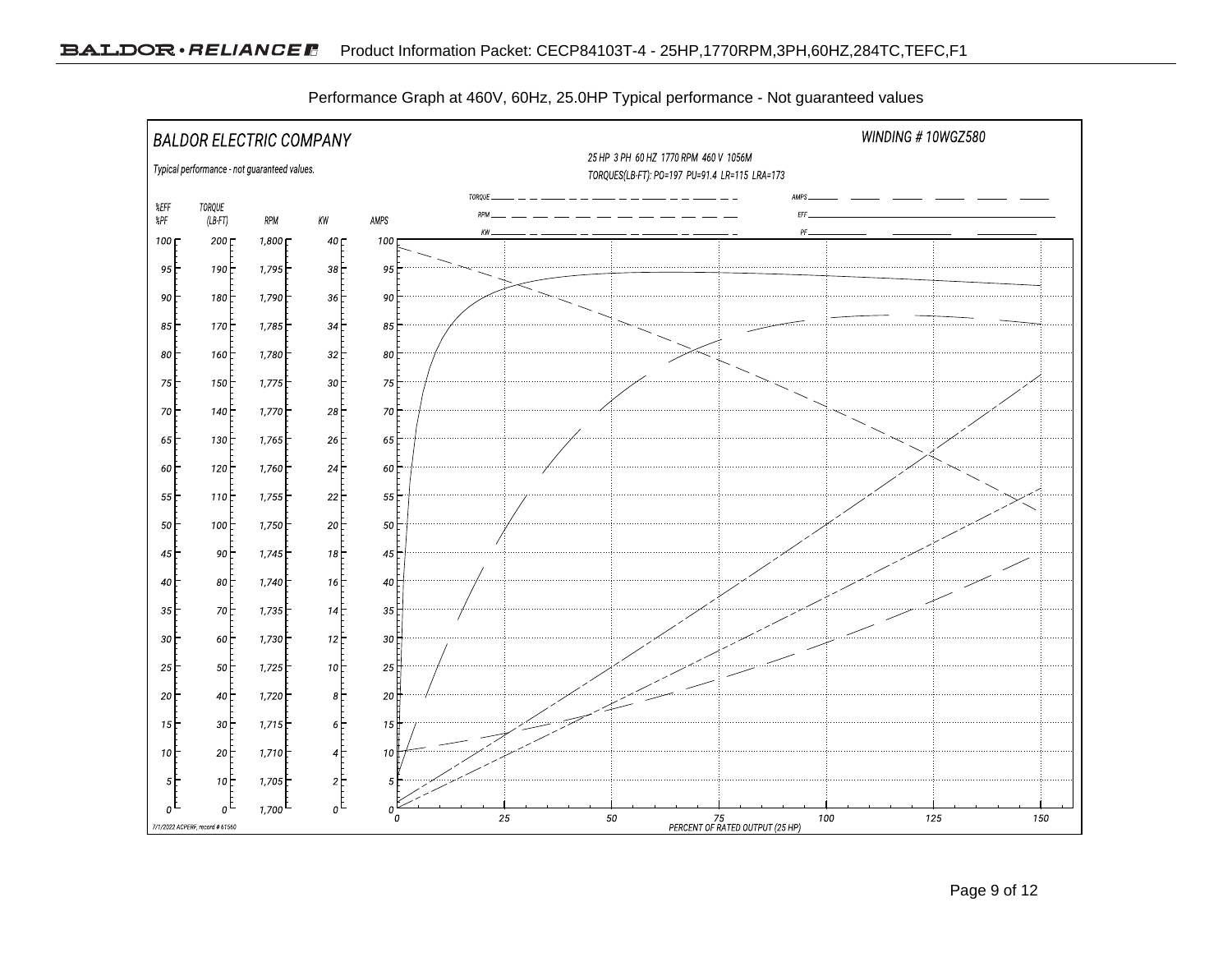

Performance Graph at 460V, 60Hz, 25.0HP Typical performance - Not guaranteed values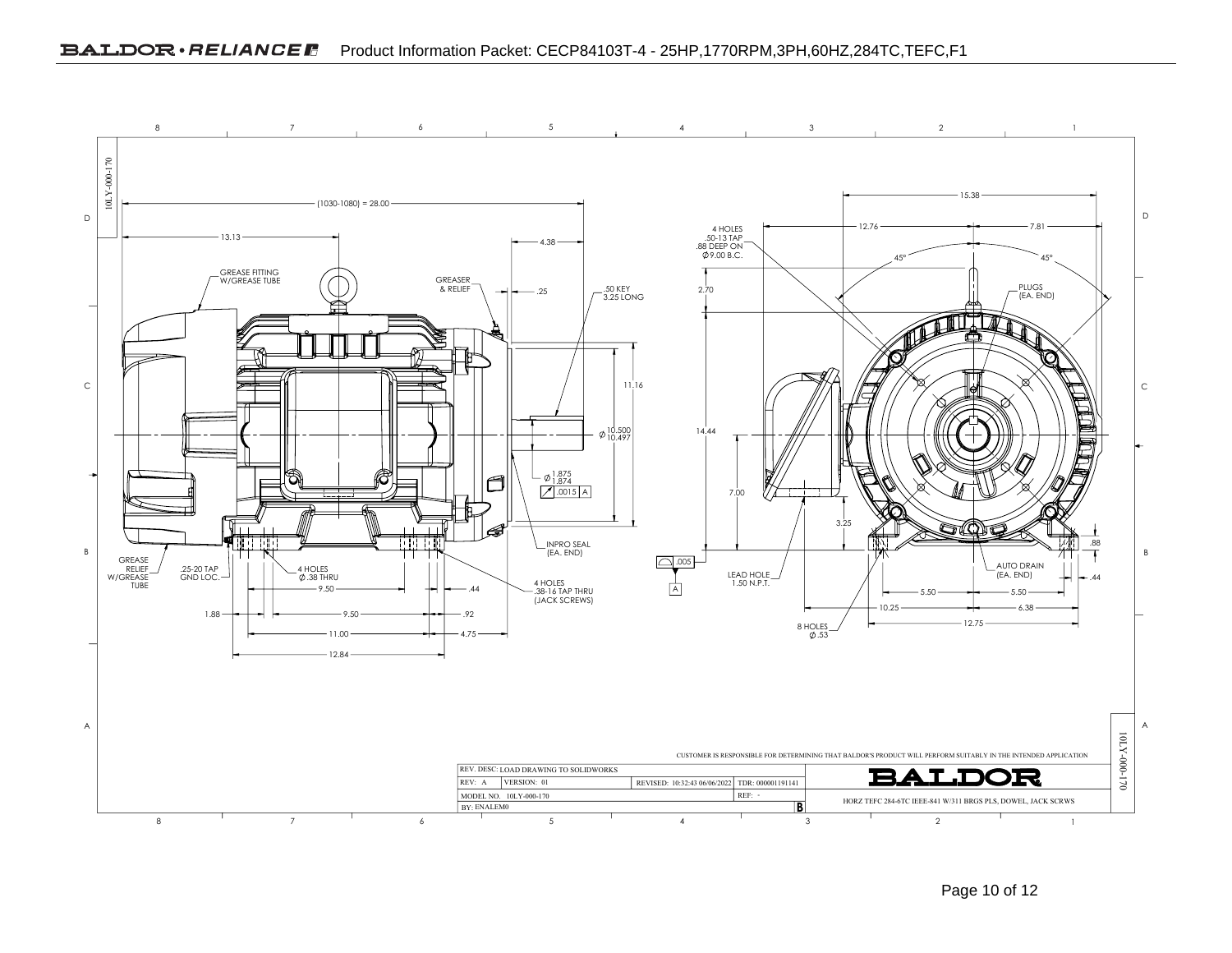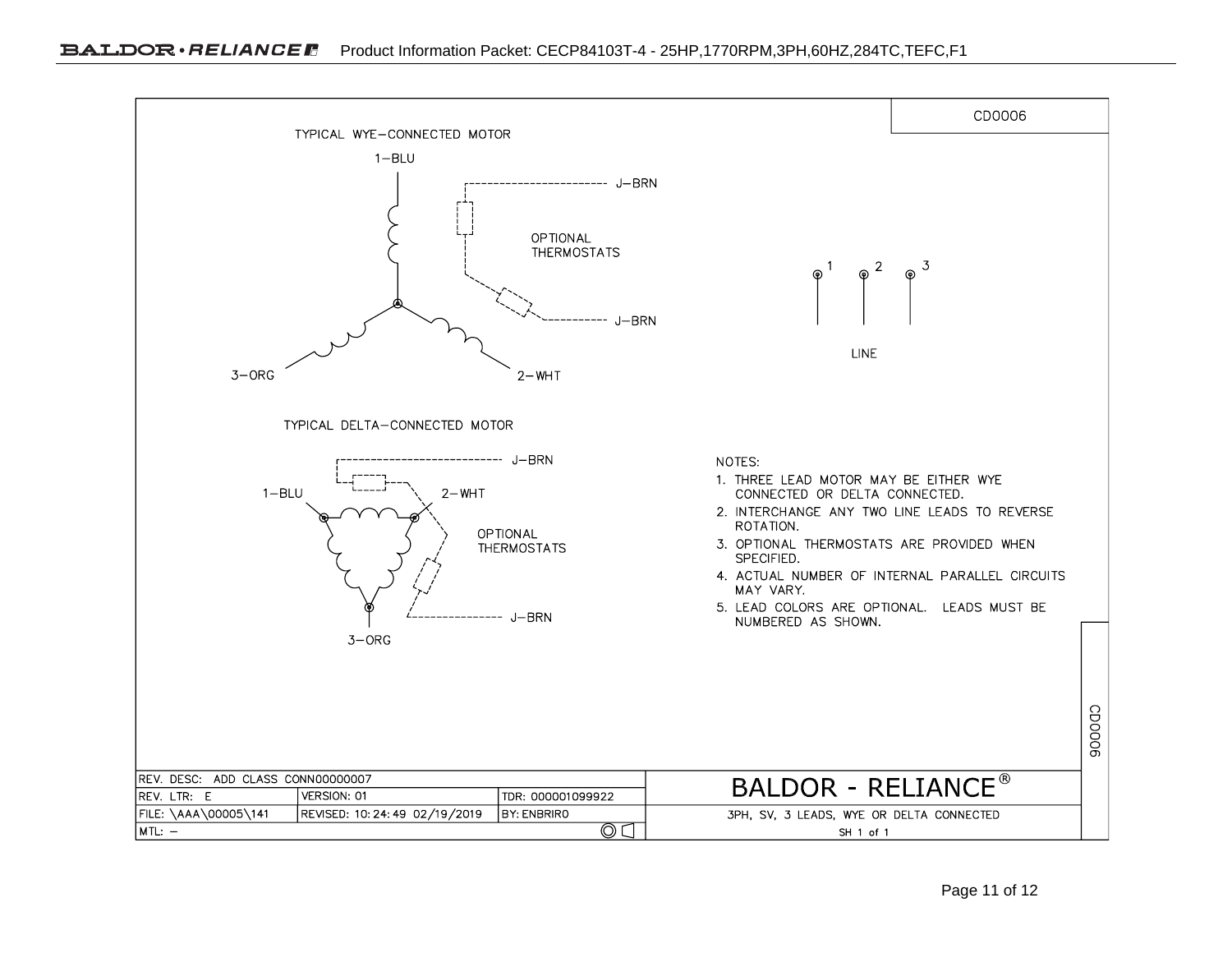